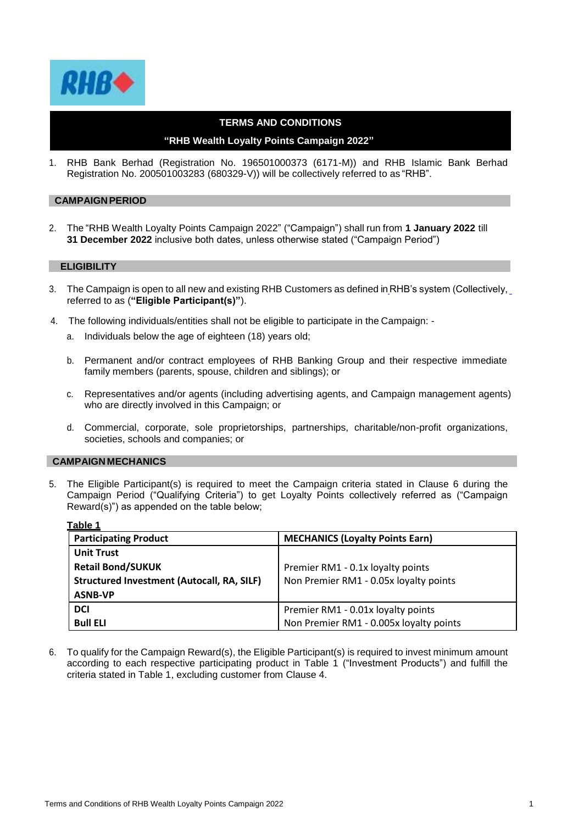

## **TERMS AND CONDITIONS**

# **"RHB Wealth Loyalty Points Campaign 2022"**

1. RHB Bank Berhad (Registration No. 196501000373 (6171-M)) and RHB Islamic Bank Berhad Registration No. 200501003283 (680329-V)) will be collectively referred to as "RHB".

### **CAMPAIGNPERIOD**

2. The "RHB Wealth Loyalty Points Campaign 2022" ("Campaign") shall run from **1 January 2022** till **31 December 2022** inclusive both dates, unless otherwise stated ("Campaign Period")

### **ELIGIBILITY**

- 3. The Campaign is open to all new and existing RHB Customers as defined in RHB's system (Collectively, referred to as (**"Eligible Participant(s)"**).
- 4. The following individuals/entities shall not be eligible to participate in the Campaign:
	- a. Individuals below the age of eighteen (18) years old;
	- b. Permanent and/or contract employees of RHB Banking Group and their respective immediate family members (parents, spouse, children and siblings); or
	- c. Representatives and/or agents (including advertising agents, and Campaign management agents) who are directly involved in this Campaign; or
	- d. Commercial, corporate, sole proprietorships, partnerships, charitable/non-profit organizations, societies, schools and companies; or

## **CAMPAIGN MECHANICS**

5. The Eligible Participant(s) is required to meet the Campaign criteria stated in Clause 6 during the Campaign Period ("Qualifying Criteria") to get Loyalty Points collectively referred as ("Campaign Reward(s)") as appended on the table below;

| Table 1                                           |                                         |
|---------------------------------------------------|-----------------------------------------|
| <b>Participating Product</b>                      | <b>MECHANICS (Loyalty Points Earn)</b>  |
| <b>Unit Trust</b>                                 |                                         |
| <b>Retail Bond/SUKUK</b>                          | Premier RM1 - 0.1x loyalty points       |
| <b>Structured Investment (Autocall, RA, SILF)</b> | Non Premier RM1 - 0.05x loyalty points  |
| <b>ASNB-VP</b>                                    |                                         |
| <b>DCI</b>                                        | Premier RM1 - 0.01x loyalty points      |
| <b>Bull ELI</b>                                   | Non Premier RM1 - 0.005x loyalty points |

6. To qualify for the Campaign Reward(s), the Eligible Participant(s) is required to invest minimum amount according to each respective participating product in Table 1 ("Investment Products") and fulfill the criteria stated in Table 1, excluding customer from Clause 4.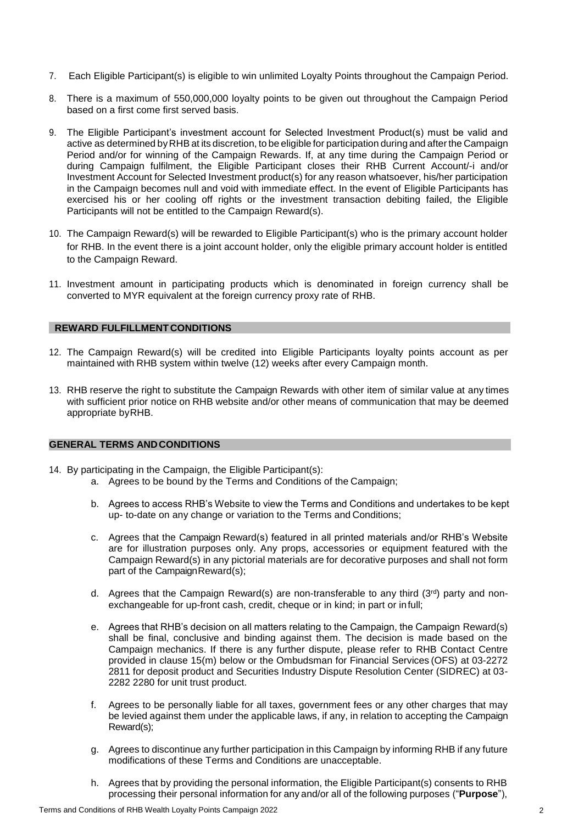- 7. Each Eligible Participant(s) is eligible to win unlimited Loyalty Points throughout the Campaign Period.
- 8. There is a maximum of 550,000,000 loyalty points to be given out throughout the Campaign Period based on a first come first served basis.
- 9. The Eligible Participant's investment account for Selected Investment Product(s) must be valid and active as determined byRHB at its discretion, to be eligible for participation during and after the Campaign Period and/or for winning of the Campaign Rewards. If, at any time during the Campaign Period or during Campaign fulfilment, the Eligible Participant closes their RHB Current Account/-i and/or Investment Account for Selected Investment product(s) for any reason whatsoever, his/her participation in the Campaign becomes null and void with immediate effect. In the event of Eligible Participants has exercised his or her cooling off rights or the investment transaction debiting failed, the Eligible Participants will not be entitled to the Campaign Reward(s).
- 10. The Campaign Reward(s) will be rewarded to Eligible Participant(s) who is the primary account holder for RHB. In the event there is a joint account holder, only the eligible primary account holder is entitled to the Campaign Reward.
- 11. Investment amount in participating products which is denominated in foreign currency shall be converted to MYR equivalent at the foreign currency proxy rate of RHB.

### **REWARD FULFILLMENT CONDITIONS**

- 12. The Campaign Reward(s) will be credited into Eligible Participants loyalty points account as per maintained with RHB system within twelve (12) weeks after every Campaign month.
- 13. RHB reserve the right to substitute the Campaign Rewards with other item of similar value at any times with sufficient prior notice on RHB website and/or other means of communication that may be deemed appropriate byRHB.

### **GENERAL TERMS ANDCONDITIONS**

- 14. By participating in the Campaign, the Eligible Participant(s):
	- a. Agrees to be bound by the Terms and Conditions of the Campaign;
	- b. Agrees to access RHB's Website to view the Terms and Conditions and undertakes to be kept up- to-date on any change or variation to the Terms and Conditions;
	- c. Agrees that the Campaign Reward(s) featured in all printed materials and/or RHB's Website are for illustration purposes only. Any props, accessories or equipment featured with the Campaign Reward(s) in any pictorial materials are for decorative purposes and shall not form part of the Campaign Reward(s);
	- d. Agrees that the Campaign Reward(s) are non-transferable to any third  $(3<sup>rd</sup>)$  party and nonexchangeable for up-front cash, credit, cheque or in kind; in part or infull;
	- e. Agrees that RHB's decision on all matters relating to the Campaign, the Campaign Reward(s) shall be final, conclusive and binding against them. The decision is made based on the Campaign mechanics. If there is any further dispute, please refer to RHB Contact Centre provided in clause 15(m) below or the Ombudsman for Financial Services (OFS) at 03-2272 2811 for deposit product and Securities Industry Dispute Resolution Center (SIDREC) at 03- 2282 2280 for unit trust product.
	- f. Agrees to be personally liable for all taxes, government fees or any other charges that may be levied against them under the applicable laws, if any, in relation to accepting the Campaign Reward(s);
	- g. Agrees to discontinue any further participation in this Campaign by informing RHB if any future modifications of these Terms and Conditions are unacceptable.
	- h. Agrees that by providing the personal information, the Eligible Participant(s) consents to RHB processing their personal information for any and/or all of the following purposes ("**Purpose**"),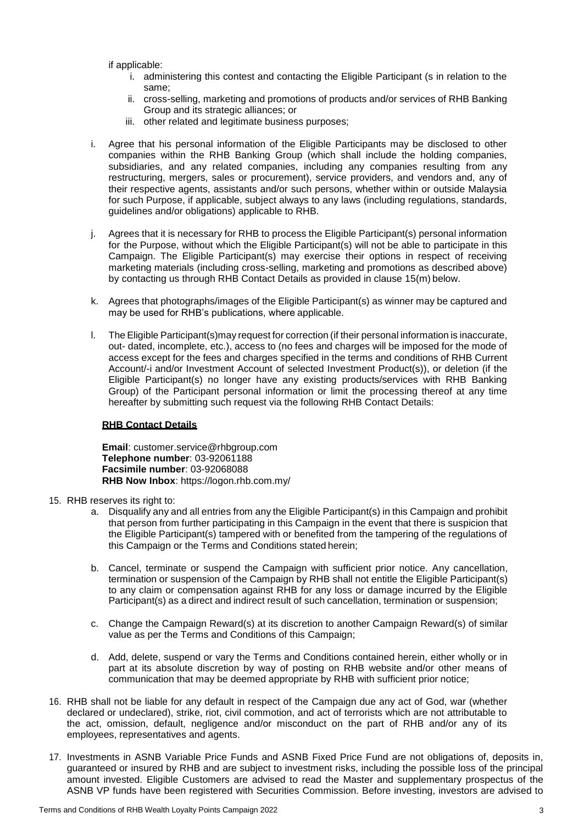if applicable:

- i. administering this contest and contacting the Eligible Participant (s in relation to the same;
- ii. cross-selling, marketing and promotions of products and/or services of RHB Banking Group and its strategic alliances; or
- iii. other related and legitimate business purposes;
- i. Agree that his personal information of the Eligible Participants may be disclosed to other companies within the RHB Banking Group (which shall include the holding companies, subsidiaries, and any related companies, including any companies resulting from any restructuring, mergers, sales or procurement), service providers, and vendors and, any of their respective agents, assistants and/or such persons, whether within or outside Malaysia for such Purpose, if applicable, subject always to any laws (including regulations, standards, guidelines and/or obligations) applicable to RHB.
- j. Agrees that it is necessary for RHB to process the Eligible Participant(s) personal information for the Purpose, without which the Eligible Participant(s) will not be able to participate in this Campaign. The Eligible Participant(s) may exercise their options in respect of receiving marketing materials (including cross-selling, marketing and promotions as described above) by contacting us through RHB Contact Details as provided in clause 15(m) below.
- k. Agrees that photographs/images of the Eligible Participant(s) as winner may be captured and may be used for RHB's publications, where applicable.
- l. The Eligible Participant(s)may request for correction (if their personal information is inaccurate, out- dated, incomplete, etc.), access to (no fees and charges will be imposed for the mode of access except for the fees and charges specified in the terms and conditions of RHB Current Account/-i and/or Investment Account of selected Investment Product(s)), or deletion (if the Eligible Participant(s) no longer have any existing products/services with RHB Banking Group) of the Participant personal information or limit the processing thereof at any time hereafter by submitting such request via the following RHB Contact Details:

## **RHB Contact Details**

**Email**: [customer.service@rhbgroup.com](mailto:customer.service@rhbgroup.com) **Telephone number**: 03-92061188 **Facsimile number**: 03-92068088 **RHB Now Inbox**: https://logon.rhb.com.my/

- 15. RHB reserves its right to:
	- a. Disqualify any and all entries from any the Eligible Participant(s) in this Campaign and prohibit that person from further participating in this Campaign in the event that there is suspicion that the Eligible Participant(s) tampered with or benefited from the tampering of the regulations of this Campaign or the Terms and Conditions stated herein;
	- b. Cancel, terminate or suspend the Campaign with sufficient prior notice. Any cancellation, termination or suspension of the Campaign by RHB shall not entitle the Eligible Participant(s) to any claim or compensation against RHB for any loss or damage incurred by the Eligible Participant(s) as a direct and indirect result of such cancellation, termination or suspension;
	- c. Change the Campaign Reward(s) at its discretion to another Campaign Reward(s) of similar value as per the Terms and Conditions of this Campaign;
	- d. Add, delete, suspend or vary the Terms and Conditions contained herein, either wholly or in part at its absolute discretion by way of posting on RHB website and/or other means of communication that may be deemed appropriate by RHB with sufficient prior notice;
- 16. RHB shall not be liable for any default in respect of the Campaign due any act of God, war (whether declared or undeclared), strike, riot, civil commotion, and act of terrorists which are not attributable to the act, omission, default, negligence and/or misconduct on the part of RHB and/or any of its employees, representatives and agents.
- 17. Investments in ASNB Variable Price Funds and ASNB Fixed Price Fund are not obligations of, deposits in, guaranteed or insured by RHB and are subject to investment risks, including the possible loss of the principal amount invested. Eligible Customers are advised to read the Master and supplementary prospectus of the ASNB VP funds have been registered with Securities Commission. Before investing, investors are advised to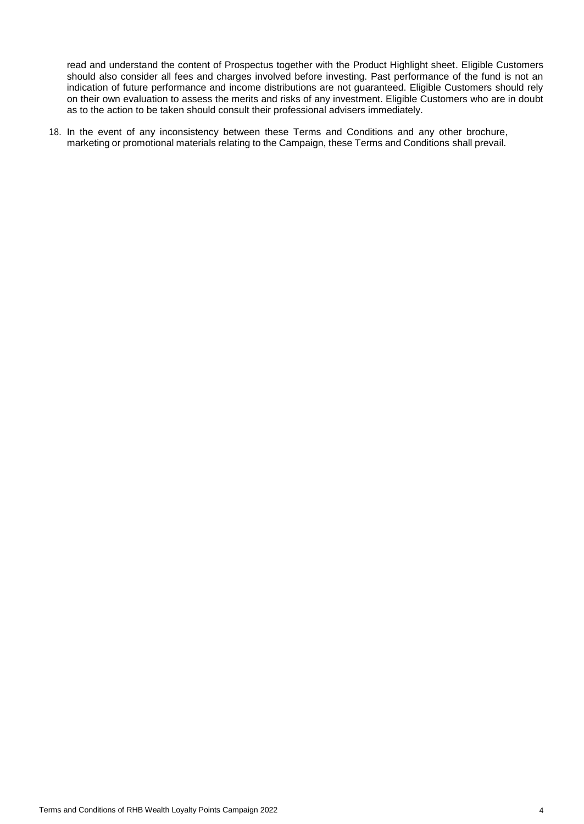read and understand the content of Prospectus together with the Product Highlight sheet. Eligible Customers should also consider all fees and charges involved before investing. Past performance of the fund is not an indication of future performance and income distributions are not guaranteed. Eligible Customers should rely on their own evaluation to assess the merits and risks of any investment. Eligible Customers who are in doubt as to the action to be taken should consult their professional advisers immediately.

18. In the event of any inconsistency between these Terms and Conditions and any other brochure, marketing or promotional materials relating to the Campaign, these Terms and Conditions shall prevail.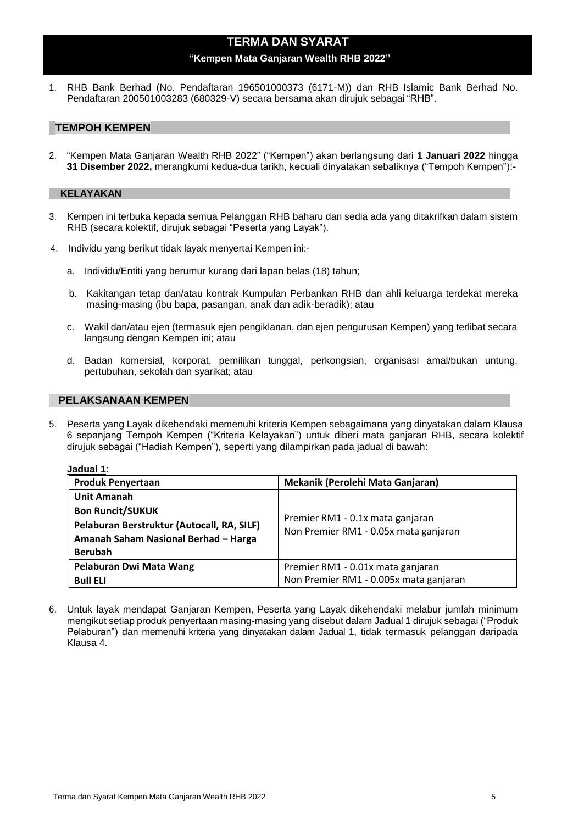# **TERMA DAN SYARAT**

### **"Kempen Mata Ganjaran Wealth RHB 2022"**

1. RHB Bank Berhad (No. Pendaftaran 196501000373 (6171-M)) dan RHB Islamic Bank Berhad No. Pendaftaran 200501003283 (680329-V) secara bersama akan dirujuk sebagai "RHB".

## **TEMPOH KEMPEN**

2. "Kempen Mata Ganjaran Wealth RHB 2022" ("Kempen") akan berlangsung dari **1 Januari 2022** hingga **31 Disember 2022,** merangkumi kedua-dua tarikh, kecuali dinyatakan sebaliknya ("Tempoh Kempen"):-

### **KELAYAKAN**

- 3. Kempen ini terbuka kepada semua Pelanggan RHB baharu dan sedia ada yang ditakrifkan dalam sistem RHB (secara kolektif, dirujuk sebagai "Peserta yang Layak").
- 4. Individu yang berikut tidak layak menyertai Kempen ini:
	- a. Individu/Entiti yang berumur kurang dari lapan belas (18) tahun;
	- b. Kakitangan tetap dan/atau kontrak Kumpulan Perbankan RHB dan ahli keluarga terdekat mereka masing-masing (ibu bapa, pasangan, anak dan adik-beradik); atau
	- c. Wakil dan/atau ejen (termasuk ejen pengiklanan, dan ejen pengurusan Kempen) yang terlibat secara langsung dengan Kempen ini; atau
	- d. Badan komersial, korporat, pemilikan tunggal, perkongsian, organisasi amal/bukan untung, pertubuhan, sekolah dan syarikat; atau

## **PELAKSANAAN KEMPEN**

5. Peserta yang Layak dikehendaki memenuhi kriteria Kempen sebagaimana yang dinyatakan dalam Klausa 6 sepanjang Tempoh Kempen ("Kriteria Kelayakan") untuk diberi mata ganjaran RHB, secara kolektif dirujuk sebagai ("Hadiah Kempen"), seperti yang dilampirkan pada jadual di bawah:

| Jadual 1 |
|----------|
|----------|

| <b>Produk Penyertaan</b>                                                                                                                              | Mekanik (Perolehi Mata Ganjaran)                                            |
|-------------------------------------------------------------------------------------------------------------------------------------------------------|-----------------------------------------------------------------------------|
| <b>Unit Amanah</b><br><b>Bon Runcit/SUKUK</b><br>Pelaburan Berstruktur (Autocall, RA, SILF)<br>Amanah Saham Nasional Berhad - Harga<br><b>Berubah</b> | Premier RM1 - 0.1x mata ganjaran<br>Non Premier RM1 - 0.05x mata ganjaran   |
| Pelaburan Dwi Mata Wang<br><b>Bull ELI</b>                                                                                                            | Premier RM1 - 0.01x mata ganjaran<br>Non Premier RM1 - 0.005x mata ganjaran |

6. Untuk layak mendapat Ganjaran Kempen, Peserta yang Layak dikehendaki melabur jumlah minimum mengikut setiap produk penyertaan masing-masing yang disebut dalam Jadual 1 dirujuk sebagai ("Produk Pelaburan") dan memenuhi kriteria yang dinyatakan dalam Jadual 1, tidak termasuk pelanggan daripada Klausa 4.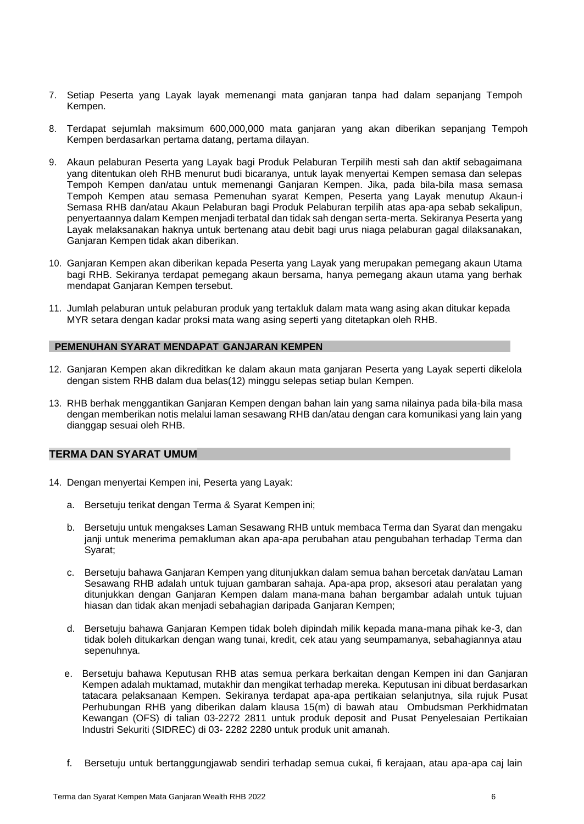- 7. Setiap Peserta yang Layak layak memenangi mata ganjaran tanpa had dalam sepanjang Tempoh Kempen.
- 8. Terdapat sejumlah maksimum 600,000,000 mata ganjaran yang akan diberikan sepanjang Tempoh Kempen berdasarkan pertama datang, pertama dilayan.
- 9. Akaun pelaburan Peserta yang Layak bagi Produk Pelaburan Terpilih mesti sah dan aktif sebagaimana yang ditentukan oleh RHB menurut budi bicaranya, untuk layak menyertai Kempen semasa dan selepas Tempoh Kempen dan/atau untuk memenangi Ganjaran Kempen. Jika, pada bila-bila masa semasa Tempoh Kempen atau semasa Pemenuhan syarat Kempen, Peserta yang Layak menutup Akaun-i Semasa RHB dan/atau Akaun Pelaburan bagi Produk Pelaburan terpilih atas apa-apa sebab sekalipun, penyertaannya dalam Kempen menjadi terbatal dan tidak sah dengan serta-merta. Sekiranya Peserta yang Layak melaksanakan haknya untuk bertenang atau debit bagi urus niaga pelaburan gagal dilaksanakan, Ganjaran Kempen tidak akan diberikan.
- 10. Ganjaran Kempen akan diberikan kepada Peserta yang Layak yang merupakan pemegang akaun Utama bagi RHB. Sekiranya terdapat pemegang akaun bersama, hanya pemegang akaun utama yang berhak mendapat Ganjaran Kempen tersebut.
- 11. Jumlah pelaburan untuk pelaburan produk yang tertakluk dalam mata wang asing akan ditukar kepada MYR setara dengan kadar proksi mata wang asing seperti yang ditetapkan oleh RHB.

### **PEMENUHAN SYARAT MENDAPAT GANJARAN KEMPEN**

- 12. Ganjaran Kempen akan dikreditkan ke dalam akaun mata ganjaran Peserta yang Layak seperti dikelola dengan sistem RHB dalam dua belas(12) minggu selepas setiap bulan Kempen.
- 13. RHB berhak menggantikan Ganjaran Kempen dengan bahan lain yang sama nilainya pada bila-bila masa dengan memberikan notis melalui laman sesawang RHB dan/atau dengan cara komunikasi yang lain yang dianggap sesuai oleh RHB.

# **TERMA DAN SYARAT UMUM**

- 14. Dengan menyertai Kempen ini, Peserta yang Layak:
	- a. Bersetuju terikat dengan Terma & Syarat Kempen ini;
	- b. Bersetuju untuk mengakses Laman Sesawang RHB untuk membaca Terma dan Syarat dan mengaku janji untuk menerima pemakluman akan apa-apa perubahan atau pengubahan terhadap Terma dan Syarat;
	- c. Bersetuju bahawa Ganjaran Kempen yang ditunjukkan dalam semua bahan bercetak dan/atau Laman Sesawang RHB adalah untuk tujuan gambaran sahaja. Apa-apa prop, aksesori atau peralatan yang ditunjukkan dengan Ganjaran Kempen dalam mana-mana bahan bergambar adalah untuk tujuan hiasan dan tidak akan menjadi sebahagian daripada Ganjaran Kempen;
	- d. Bersetuju bahawa Ganjaran Kempen tidak boleh dipindah milik kepada mana-mana pihak ke-3, dan tidak boleh ditukarkan dengan wang tunai, kredit, cek atau yang seumpamanya, sebahagiannya atau sepenuhnya.
	- e. Bersetuju bahawa Keputusan RHB atas semua perkara berkaitan dengan Kempen ini dan Ganjaran Kempen adalah muktamad, mutakhir dan mengikat terhadap mereka. Keputusan ini dibuat berdasarkan tatacara pelaksanaan Kempen. Sekiranya terdapat apa-apa pertikaian selanjutnya, sila rujuk Pusat Perhubungan RHB yang diberikan dalam klausa 15(m) di bawah atau Ombudsman Perkhidmatan Kewangan (OFS) di talian 03-2272 2811 untuk produk deposit and Pusat Penyelesaian Pertikaian Industri Sekuriti (SIDREC) di 03- 2282 2280 untuk produk unit amanah.
	- f. Bersetuju untuk bertanggungjawab sendiri terhadap semua cukai, fi kerajaan, atau apa-apa caj lain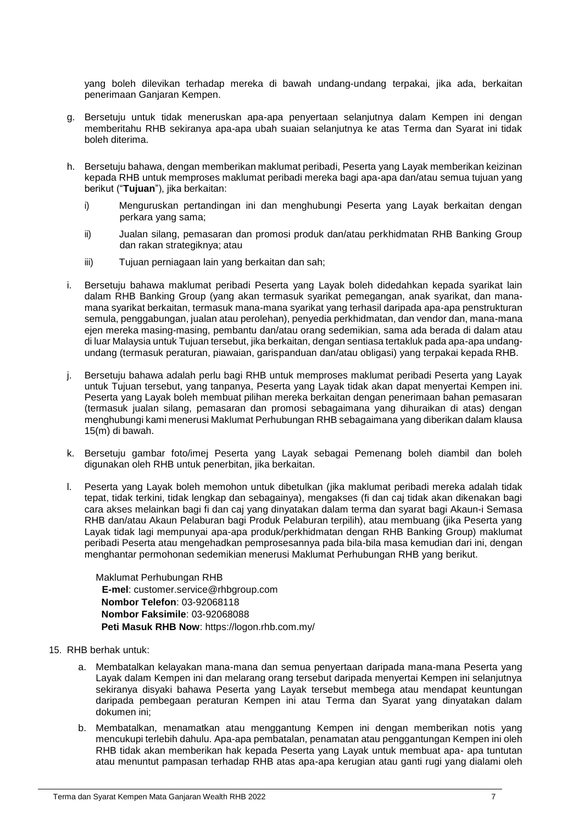yang boleh dilevikan terhadap mereka di bawah undang-undang terpakai, jika ada, berkaitan penerimaan Ganjaran Kempen.

- g. Bersetuju untuk tidak meneruskan apa-apa penyertaan selanjutnya dalam Kempen ini dengan memberitahu RHB sekiranya apa-apa ubah suaian selanjutnya ke atas Terma dan Syarat ini tidak boleh diterima.
- h. Bersetuju bahawa, dengan memberikan maklumat peribadi, Peserta yang Layak memberikan keizinan kepada RHB untuk memproses maklumat peribadi mereka bagi apa-apa dan/atau semua tujuan yang berikut ("**Tujuan**"), jika berkaitan:
	- i) Menguruskan pertandingan ini dan menghubungi Peserta yang Layak berkaitan dengan perkara yang sama;
	- ii) Jualan silang, pemasaran dan promosi produk dan/atau perkhidmatan RHB Banking Group dan rakan strategiknya; atau
	- iii) Tujuan perniagaan lain yang berkaitan dan sah;
- i. Bersetuju bahawa maklumat peribadi Peserta yang Layak boleh didedahkan kepada syarikat lain dalam RHB Banking Group (yang akan termasuk syarikat pemegangan, anak syarikat, dan manamana syarikat berkaitan, termasuk mana-mana syarikat yang terhasil daripada apa-apa penstrukturan semula, penggabungan, jualan atau perolehan), penyedia perkhidmatan, dan vendor dan, mana-mana ejen mereka masing-masing, pembantu dan/atau orang sedemikian, sama ada berada di dalam atau di luar Malaysia untuk Tujuan tersebut, jika berkaitan, dengan sentiasa tertakluk pada apa-apa undangundang (termasuk peraturan, piawaian, garispanduan dan/atau obligasi) yang terpakai kepada RHB.
- j. Bersetuju bahawa adalah perlu bagi RHB untuk memproses maklumat peribadi Peserta yang Layak untuk Tujuan tersebut, yang tanpanya, Peserta yang Layak tidak akan dapat menyertai Kempen ini. Peserta yang Layak boleh membuat pilihan mereka berkaitan dengan penerimaan bahan pemasaran (termasuk jualan silang, pemasaran dan promosi sebagaimana yang dihuraikan di atas) dengan menghubungi kami menerusi Maklumat Perhubungan RHB sebagaimana yang diberikan dalam klausa 15(m) di bawah.
- k. Bersetuju gambar foto/imej Peserta yang Layak sebagai Pemenang boleh diambil dan boleh digunakan oleh RHB untuk penerbitan, jika berkaitan.
- l. Peserta yang Layak boleh memohon untuk dibetulkan (jika maklumat peribadi mereka adalah tidak tepat, tidak terkini, tidak lengkap dan sebagainya), mengakses (fi dan caj tidak akan dikenakan bagi cara akses melainkan bagi fi dan caj yang dinyatakan dalam terma dan syarat bagi Akaun-i Semasa RHB dan/atau Akaun Pelaburan bagi Produk Pelaburan terpilih), atau membuang (jika Peserta yang Layak tidak lagi mempunyai apa-apa produk/perkhidmatan dengan RHB Banking Group) maklumat peribadi Peserta atau mengehadkan pemprosesannya pada bila-bila masa kemudian dari ini, dengan menghantar permohonan sedemikian menerusi Maklumat Perhubungan RHB yang berikut.

Maklumat Perhubungan RHB **E-mel**: [customer.service@rhbgroup.com](mailto:customer.service@rhbgroup.com) **Nombor Telefon**: 03-92068118 **Nombor Faksimile**: 03-92068088 **Peti Masuk RHB Now**: https://logon.rhb.com.my/

- 15. RHB berhak untuk:
	- a. Membatalkan kelayakan mana-mana dan semua penyertaan daripada mana-mana Peserta yang Layak dalam Kempen ini dan melarang orang tersebut daripada menyertai Kempen ini selanjutnya sekiranya disyaki bahawa Peserta yang Layak tersebut membega atau mendapat keuntungan daripada pembegaan peraturan Kempen ini atau Terma dan Syarat yang dinyatakan dalam dokumen ini;
	- b. Membatalkan, menamatkan atau menggantung Kempen ini dengan memberikan notis yang mencukupi terlebih dahulu. Apa-apa pembatalan, penamatan atau penggantungan Kempen ini oleh RHB tidak akan memberikan hak kepada Peserta yang Layak untuk membuat apa- apa tuntutan atau menuntut pampasan terhadap RHB atas apa-apa kerugian atau ganti rugi yang dialami oleh